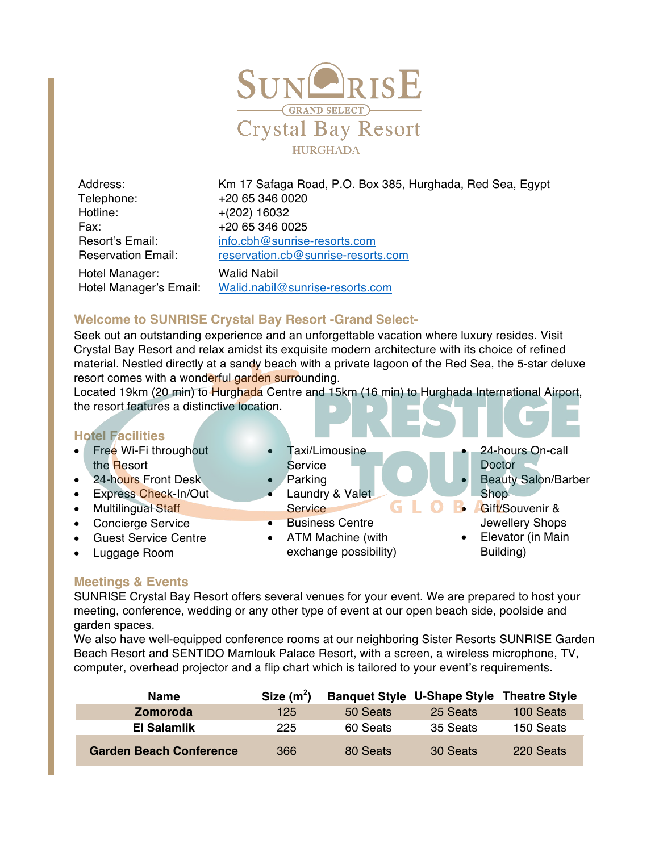

Telephone: +20 65 346 0020 Hotline: +(202) 16032 Fax: +20 65 346 0025 Hotel Manager: Walid Nabil Hotel Manager's Email: Walid.nabil@sunrise-resorts.com

Address: Km 17 Safaga Road, P.O. Box 385, Hurghada, Red Sea, Egypt Resort's Email: info.cbh@sunrise-resorts.com Reservation Email: reservation.cb@sunrise-resorts.com

### **Welcome to SUNRISE Crystal Bay Resort -Grand Select-**

Seek out an outstanding experience and an unforgettable vacation where luxury resides. Visit Crystal Bay Resort and relax amidst its exquisite modern architecture with its choice of refined material. Nestled directly at a sandy beach with a private lagoon of the Red Sea, the 5-star deluxe resort comes with a wonderful garden surrounding.

Located 19km (20 min) to Hurghada Centre and 15km (16 min) to Hurghada International Airport, the resort features a distinctive location.

#### **Hotel Facilities**

- Free Wi-Fi throughout the Resort
- 24-hours Front Desk
- Express Check-In/Out
- Multilingual Staff
- Concierge Service
- Guest Service Centre
- Luggage Room
- Taxi/Limousine **Service** • Parking **Doctor**
- **Service**

Laundry & Valet

- Business Centre
- ATM Machine (with exchange possibility)
- 24-hours On-call
- Beauty Salon/Barber Shop.
- Gift/Souvenir & Jewellery Shops
- Elevator (in Main Building)

#### **Meetings & Events**

SUNRISE Crystal Bay Resort offers several venues for your event. We are prepared to host your meeting, conference, wedding or any other type of event at our open beach side, poolside and garden spaces.

We also have well-equipped conference rooms at our neighboring Sister Resorts SUNRISE Garden Beach Resort and SENTIDO Mamlouk Palace Resort, with a screen, a wireless microphone, TV, computer, overhead projector and a flip chart which is tailored to your event's requirements.

| <b>Name</b>                    | Size $(m^2)$ |          | <b>Banquet Style U-Shape Style Theatre Style</b> |           |
|--------------------------------|--------------|----------|--------------------------------------------------|-----------|
| <b>Zomoroda</b>                | 125          | 50 Seats | 25 Seats                                         | 100 Seats |
| El Salamlik                    | 225          | 60 Seats | 35 Seats                                         | 150 Seats |
| <b>Garden Beach Conference</b> | 366          | 80 Seats | 30 Seats                                         | 220 Seats |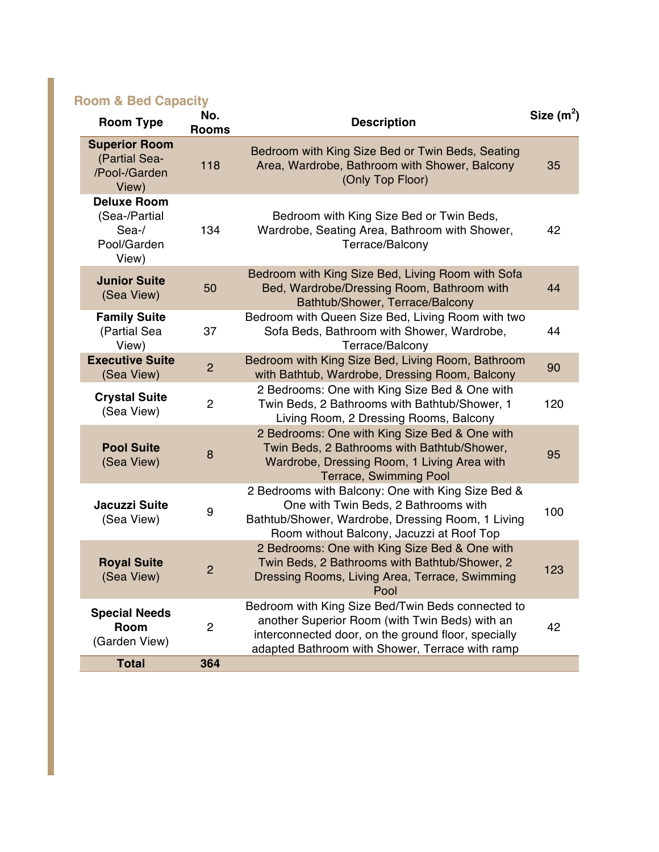# **Room & Bed Capacity**

| <b>Room Type</b>                                                     | No.<br><b>Rooms</b> | <b>Description</b>                                                                                                                                                                                            | Size $(m^2)$ |
|----------------------------------------------------------------------|---------------------|---------------------------------------------------------------------------------------------------------------------------------------------------------------------------------------------------------------|--------------|
| <b>Superior Room</b><br>(Partial Sea-<br>/Pool-/Garden<br>View)      | 118                 | Bedroom with King Size Bed or Twin Beds, Seating<br>Area, Wardrobe, Bathroom with Shower, Balcony<br>(Only Top Floor)                                                                                         | 35           |
| <b>Deluxe Room</b><br>(Sea-/Partial<br>Sea-/<br>Pool/Garden<br>View) | 134                 | Bedroom with King Size Bed or Twin Beds,<br>Wardrobe, Seating Area, Bathroom with Shower,<br>Terrace/Balcony                                                                                                  | 42           |
| <b>Junior Suite</b><br>(Sea View)                                    | 50                  | Bedroom with King Size Bed, Living Room with Sofa<br>Bed, Wardrobe/Dressing Room, Bathroom with<br>Bathtub/Shower, Terrace/Balcony                                                                            | 44           |
| <b>Family Suite</b><br>(Partial Sea<br>View)                         | 37                  | Bedroom with Queen Size Bed, Living Room with two<br>Sofa Beds, Bathroom with Shower, Wardrobe,<br>Terrace/Balcony                                                                                            | 44           |
| <b>Executive Suite</b><br>(Sea View)                                 | $\overline{2}$      | Bedroom with King Size Bed, Living Room, Bathroom<br>with Bathtub, Wardrobe, Dressing Room, Balcony                                                                                                           | 90           |
| <b>Crystal Suite</b><br>(Sea View)                                   | $\overline{2}$      | 2 Bedrooms: One with King Size Bed & One with<br>Twin Beds, 2 Bathrooms with Bathtub/Shower, 1<br>Living Room, 2 Dressing Rooms, Balcony                                                                      | 120          |
| <b>Pool Suite</b><br>(Sea View)                                      | 8                   | 2 Bedrooms: One with King Size Bed & One with<br>Twin Beds, 2 Bathrooms with Bathtub/Shower,<br>Wardrobe, Dressing Room, 1 Living Area with<br><b>Terrace, Swimming Pool</b>                                  | 95           |
| <b>Jacuzzi Suite</b><br>(Sea View)                                   | 9                   | 2 Bedrooms with Balcony: One with King Size Bed &<br>One with Twin Beds, 2 Bathrooms with<br>Bathtub/Shower, Wardrobe, Dressing Room, 1 Living<br>Room without Balcony, Jacuzzi at Roof Top                   | 100          |
| <b>Royal Suite</b><br>(Sea View)                                     | $\overline{2}$      | 2 Bedrooms: One with King Size Bed & One with<br>Twin Beds, 2 Bathrooms with Bathtub/Shower, 2<br>Dressing Rooms, Living Area, Terrace, Swimming<br>Pool                                                      | 123          |
| <b>Special Needs</b><br><b>Room</b><br>(Garden View)                 | $\overline{2}$      | Bedroom with King Size Bed/Twin Beds connected to<br>another Superior Room (with Twin Beds) with an<br>interconnected door, on the ground floor, specially<br>adapted Bathroom with Shower, Terrace with ramp | 42           |
| <b>Total</b>                                                         | 364                 |                                                                                                                                                                                                               |              |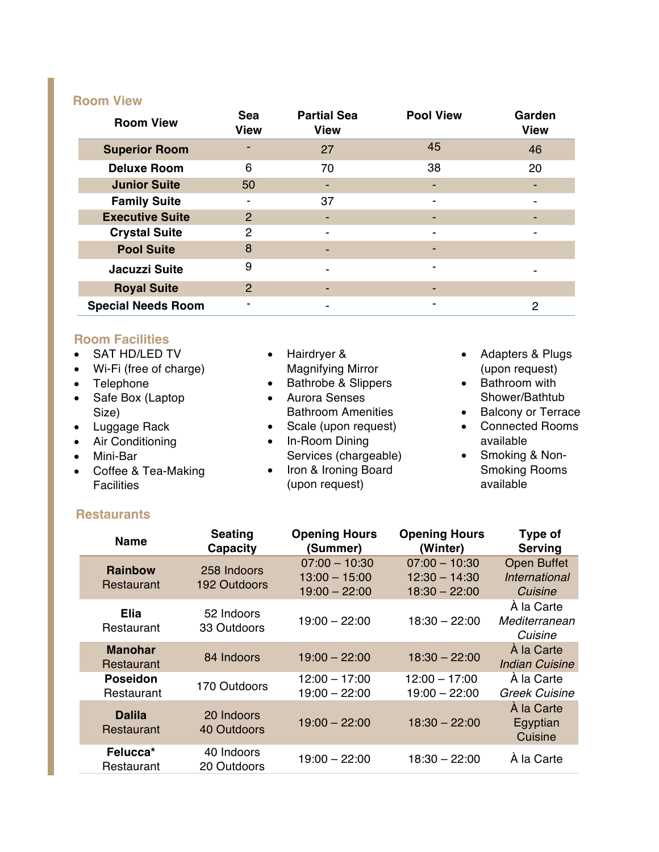# **Room View**

| <b>Room View</b>          | Sea<br><b>View</b> | <b>Partial Sea</b><br><b>View</b> | <b>Pool View</b>         | Garden<br><b>View</b>    |
|---------------------------|--------------------|-----------------------------------|--------------------------|--------------------------|
| <b>Superior Room</b>      |                    | 27                                | 45                       | 46                       |
| <b>Deluxe Room</b>        | 6                  | 70                                | 38                       | 20                       |
| <b>Junior Suite</b>       | 50                 | ٠                                 | ٠                        |                          |
| <b>Family Suite</b>       |                    | 37                                | ٠                        | ٠                        |
| <b>Executive Suite</b>    | $\overline{2}$     | -                                 | $\overline{\phantom{a}}$ |                          |
| <b>Crystal Suite</b>      | 2                  | $\overline{\phantom{a}}$          | $\overline{\phantom{a}}$ | $\overline{\phantom{0}}$ |
| <b>Pool Suite</b>         | 8                  |                                   | -                        |                          |
| <b>Jacuzzi Suite</b>      | 9                  |                                   | $\overline{\phantom{a}}$ |                          |
| <b>Royal Suite</b>        | $\overline{2}$     |                                   |                          |                          |
| <b>Special Needs Room</b> | -                  | $\overline{\phantom{0}}$          | ٠                        | 2                        |

# **Room Facilities**

| • SAT HD/LED TV<br>• Wi-Fi (free of charge)<br>• Telephone<br>• Safe Box (Laptop<br>Size)<br>• Luggage Rack<br>• Air Conditioning<br>Mini-Bar<br>$\bullet$ | Hairdryer &<br>$\bullet$<br><b>Magnifying Mirror</b><br><b>Bathrobe &amp; Slippers</b><br>$\bullet$<br><b>Aurora Senses</b><br>$\bullet$<br><b>Bathroom Amenities</b><br>• Scale (upon request)<br>In-Room Dining<br>$\bullet$<br>Services (chargeable) | Adapters & Plugs<br>$\bullet$<br>(upon request)<br>Bathroom with<br>$\bullet$<br>Shower/Bathtub<br><b>Balcony or Terrace</b><br>$\bullet$<br><b>Connected Rooms</b><br>$\bullet$<br>available<br>Smoking & Non-<br>$\bullet$ |
|------------------------------------------------------------------------------------------------------------------------------------------------------------|---------------------------------------------------------------------------------------------------------------------------------------------------------------------------------------------------------------------------------------------------------|------------------------------------------------------------------------------------------------------------------------------------------------------------------------------------------------------------------------------|
|                                                                                                                                                            |                                                                                                                                                                                                                                                         |                                                                                                                                                                                                                              |
| • Coffee & Tea-Making<br><b>Facilities</b>                                                                                                                 | Iron & Ironing Board<br>$\bullet$<br>(upon request)                                                                                                                                                                                                     | <b>Smoking Rooms</b><br>available                                                                                                                                                                                            |
|                                                                                                                                                            |                                                                                                                                                                                                                                                         |                                                                                                                                                                                                                              |

# **Restaurants**

| <b>Name</b>                   | <b>Seating</b><br><b>Capacity</b> | <b>Opening Hours</b><br>(Summer)                      | <b>Opening Hours</b><br>(Winter)                      | Type of<br><b>Serving</b>                      |
|-------------------------------|-----------------------------------|-------------------------------------------------------|-------------------------------------------------------|------------------------------------------------|
| <b>Rainbow</b><br>Restaurant  | 258 Indoors<br>192 Outdoors       | $07:00 - 10:30$<br>$13:00 - 15:00$<br>$19:00 - 22:00$ | $07:00 - 10:30$<br>$12:30 - 14:30$<br>$18:30 - 22:00$ | <b>Open Buffet</b><br>International<br>Cuisine |
| Elia<br>Restaurant            | 52 Indoors<br>33 Outdoors         | $19:00 - 22:00$                                       | $18:30 - 22:00$                                       | A la Carte<br>Mediterranean<br>Cuisine         |
| <b>Manohar</b><br>Restaurant  | 84 Indoors                        | $19:00 - 22:00$                                       | $18:30 - 22:00$                                       | À la Carte<br>Indian Cuisine                   |
| <b>Poseidon</b><br>Restaurant | 170 Outdoors                      | $12:00 - 17:00$<br>$19:00 - 22:00$                    | $12:00 - 17:00$<br>$19:00 - 22:00$                    | À la Carte<br>Greek Cuisine                    |
| <b>Dalila</b><br>Restaurant   | 20 Indoors<br>40 Outdoors         | $19:00 - 22:00$                                       | $18:30 - 22:00$                                       | À la Carte<br>Egyptian<br>Cuisine              |
| Felucca*<br>Restaurant        | 40 Indoors<br>20 Outdoors         | $19:00 - 22:00$                                       | $18:30 - 22:00$                                       | À la Carte                                     |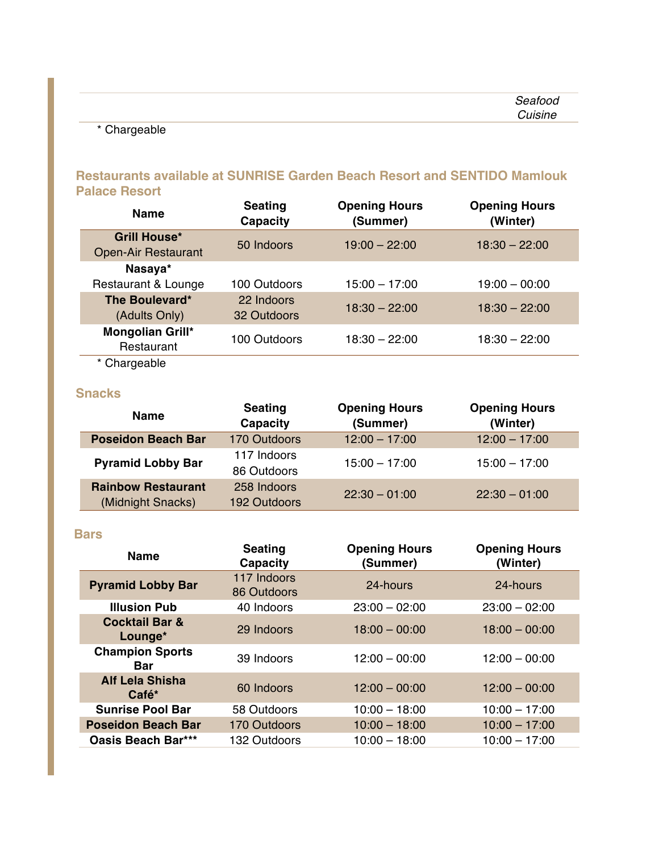|  |  | ,,,,, |
|--|--|-------|
|  |  |       |
|  |  |       |

# \* Chargeable

# **Restaurants available at SUNRISE Garden Beach Resort and SENTIDO Mamlouk Palace Resort**

| <b>Name</b>                                       | <b>Seating</b><br>Capacity | <b>Opening Hours</b><br>(Summer) | <b>Opening Hours</b><br>(Winter) |
|---------------------------------------------------|----------------------------|----------------------------------|----------------------------------|
| <b>Grill House*</b><br><b>Open-Air Restaurant</b> | 50 Indoors                 | $19:00 - 22:00$                  | $18:30 - 22:00$                  |
| Nasaya*<br>Restaurant & Lounge                    | 100 Outdoors               | $15:00 - 17:00$                  | $19:00 - 00:00$                  |
| The Boulevard*<br>(Adults Only)                   | 22 Indoors<br>32 Outdoors  | $18:30 - 22:00$                  | $18:30 - 22:00$                  |
| Mongolian Grill*<br>Restaurant                    | 100 Outdoors               | $18:30 - 22:00$                  | $18:30 - 22:00$                  |
| * Chargeable                                      |                            |                                  |                                  |

# **Snacks**

| <b>Name</b>                                    | <b>Seating</b><br>Capacity  | <b>Opening Hours</b><br>(Summer) | <b>Opening Hours</b><br>(Winter) |
|------------------------------------------------|-----------------------------|----------------------------------|----------------------------------|
| <b>Poseidon Beach Bar</b>                      | 170 Outdoors                | $12:00 - 17:00$                  | $12:00 - 17:00$                  |
| <b>Pyramid Lobby Bar</b>                       | 117 Indoors<br>86 Outdoors  | $15:00 - 17:00$                  | $15:00 - 17:00$                  |
| <b>Rainbow Restaurant</b><br>(Midnight Snacks) | 258 Indoors<br>192 Outdoors | $22:30 - 01:00$                  | $22:30 - 01:00$                  |

#### **Bars**

| <b>Name</b>                          | <b>Seating</b><br>Capacity | <b>Opening Hours</b><br>(Summer) | <b>Opening Hours</b><br>(Winter) |
|--------------------------------------|----------------------------|----------------------------------|----------------------------------|
| <b>Pyramid Lobby Bar</b>             | 117 Indoors<br>86 Outdoors | 24-hours                         | 24-hours                         |
| <b>Illusion Pub</b>                  | 40 Indoors                 | $23:00 - 02:00$                  | $23:00 - 02:00$                  |
| <b>Cocktail Bar &amp;</b><br>Lounge* | 29 Indoors                 | $18:00 - 00:00$                  | $18:00 - 00:00$                  |
| <b>Champion Sports</b><br>Bar        | 39 Indoors                 | $12:00 - 00:00$                  | $12:00 - 00:00$                  |
| <b>Alf Lela Shisha</b><br>Café*      | 60 Indoors                 | $12:00 - 00:00$                  | $12:00 - 00:00$                  |
| <b>Sunrise Pool Bar</b>              | 58 Outdoors                | $10:00 - 18:00$                  | $10:00 - 17:00$                  |
| <b>Poseidon Beach Bar</b>            | 170 Outdoors               | $10:00 - 18:00$                  | $10:00 - 17:00$                  |
| <b>Oasis Beach Bar***</b>            | 132 Outdoors               | $10:00 - 18:00$                  | $10:00 - 17:00$                  |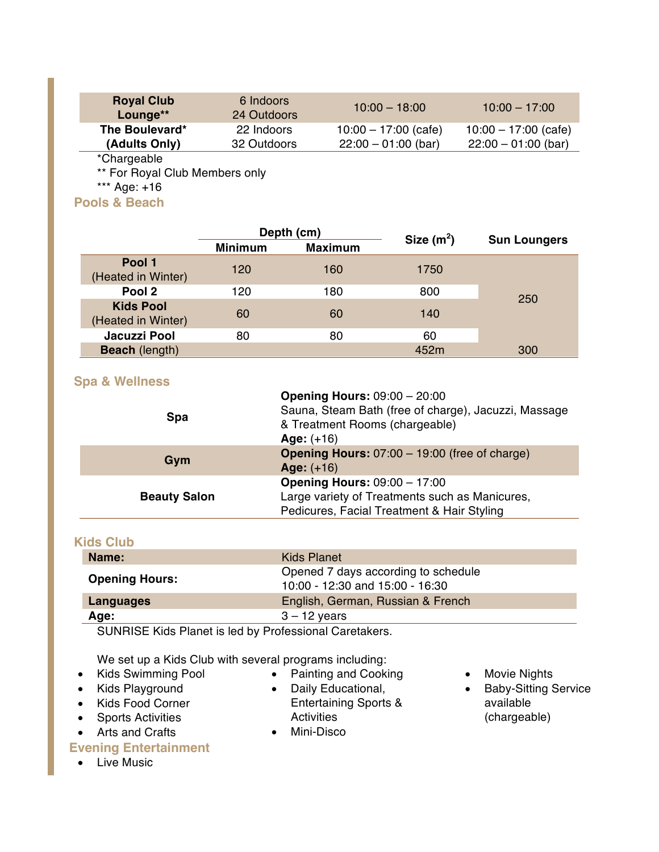| <b>Royal Club</b><br>Lounge** | 6 Indoors<br>24 Outdoors | $10:00 - 18:00$        | $10:00 - 17:00$        |
|-------------------------------|--------------------------|------------------------|------------------------|
| The Boulevard*                | 22 Indoors               | $10:00 - 17:00$ (cafe) | $10:00 - 17:00$ (cafe) |
| (Adults Only)                 | 32 Outdoors              | $22:00 - 01:00$ (bar)  | $22:00 - 01:00$ (bar)  |
| *Chargeable                   |                          |                        |                        |

\*\* For Royal Club Members only

\*\*\* Age: +16

**Pools & Beach**

|                                        | Depth (cm)     |                | Size $(m^2)$ |                     |
|----------------------------------------|----------------|----------------|--------------|---------------------|
|                                        | <b>Minimum</b> | <b>Maximum</b> |              | <b>Sun Loungers</b> |
| Pool 1<br>(Heated in Winter)           | 120            | 160            | 1750         |                     |
| Pool 2                                 | 120            | 180            | 800          |                     |
| <b>Kids Pool</b><br>(Heated in Winter) | 60             | 60             | 140          | 250                 |
| Jacuzzi Pool                           | 80             | 80             | 60           |                     |
| <b>Beach</b> (length)                  |                |                | 452m         | 300                 |

### **Spa & Wellness**

| <b>Spa</b>          | <b>Opening Hours: 09:00 - 20:00</b><br>Sauna, Steam Bath (free of charge), Jacuzzi, Massage<br>& Treatment Rooms (chargeable)<br>Age: $(+16)$ |
|---------------------|-----------------------------------------------------------------------------------------------------------------------------------------------|
| Gym                 | <b>Opening Hours: 07:00 - 19:00 (free of charge)</b><br>Age: $(+16)$                                                                          |
| <b>Beauty Salon</b> | <b>Opening Hours: 09:00 - 17:00</b><br>Large variety of Treatments such as Manicures,<br>Pedicures, Facial Treatment & Hair Styling           |

### **Kids Club**

| Name:                 | Kids Planet                                                            |
|-----------------------|------------------------------------------------------------------------|
| <b>Opening Hours:</b> | Opened 7 days according to schedule<br>10:00 - 12:30 and 15:00 - 16:30 |
| Languages             | English, German, Russian & French                                      |
| Age:                  | $3 - 12$ years                                                         |

SUNRISE Kids Planet is led by Professional Caretakers.

We set up a Kids Club with several programs including:

- Kids Swimming Pool
- Kids Playground
- Kids Food Corner
- Sports Activities
- Arts and Crafts

## **Evening Entertainment**

• Live Music

- Painting and Cooking
- Daily Educational, Entertaining Sports & **Activities**
- Mini-Disco
- Movie Nights
- Baby-Sitting Service available (chargeable)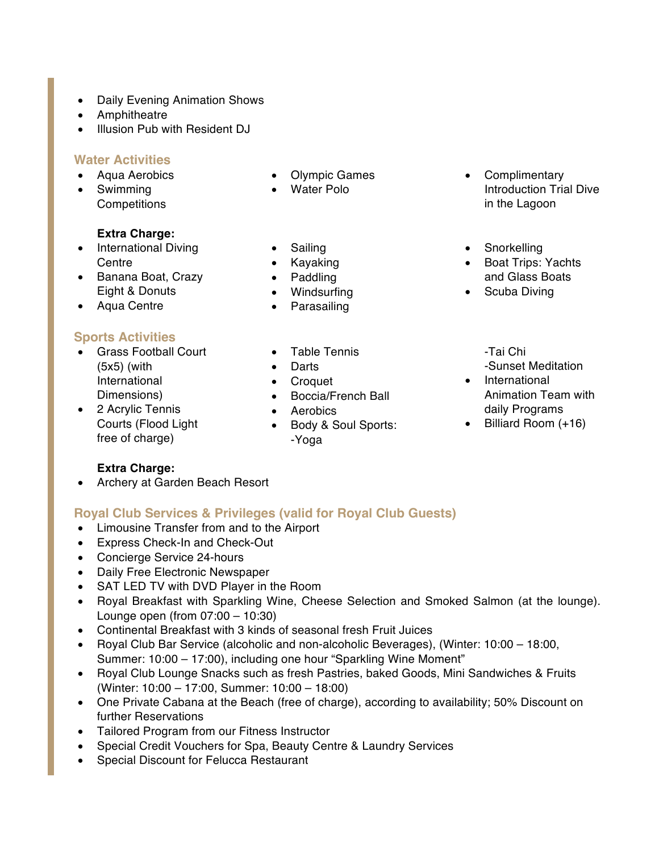- Daily Evening Animation Shows
- Amphitheatre
- Illusion Pub with Resident DJ

### **Water Activities**

- Aqua Aerobics
- Swimming
- Competitions

### **Extra Charge:**

- International Diving Centre
- Banana Boat, Crazy Eight & Donuts
- Aqua Centre

### **Sports Activities**

- Grass Football Court (5x5) (with International Dimensions)
- 2 Acrylic Tennis Courts (Flood Light free of charge)

### **Extra Charge:**

• Archery at Garden Beach Resort

### **Royal Club Services & Privileges (valid for Royal Club Guests)**

- Limousine Transfer from and to the Airport
- Express Check-In and Check-Out
- Concierge Service 24-hours
- Daily Free Electronic Newspaper
- SAT LED TV with DVD Player in the Room
- Royal Breakfast with Sparkling Wine, Cheese Selection and Smoked Salmon (at the lounge). Lounge open (from 07:00 – 10:30)
- Continental Breakfast with 3 kinds of seasonal fresh Fruit Juices
- Royal Club Bar Service (alcoholic and non-alcoholic Beverages), (Winter: 10:00 18:00, Summer: 10:00 – 17:00), including one hour "Sparkling Wine Moment"
- Royal Club Lounge Snacks such as fresh Pastries, baked Goods, Mini Sandwiches & Fruits (Winter: 10:00 – 17:00, Summer: 10:00 – 18:00)
- One Private Cabana at the Beach (free of charge), according to availability; 50% Discount on further Reservations
- Tailored Program from our Fitness Instructor
- Special Credit Vouchers for Spa, Beauty Centre & Laundry Services
- Special Discount for Felucca Restaurant
- Olympic Games
- Water Polo
- Sailing
- Kayaking
- Paddling
- Windsurfing
- Parasailing
- Table Tennis
- Darts
- Croquet
- Boccia/French Ball
- Aerobics
- Body & Soul Sports: -Yoga
- Complimentary Introduction Trial Dive in the Lagoon
- Snorkelling
- Boat Trips: Yachts and Glass Boats
- Scuba Diving
	- -Tai Chi -Sunset Meditation
- International Animation Team with daily Programs
- Billiard Room (+16)